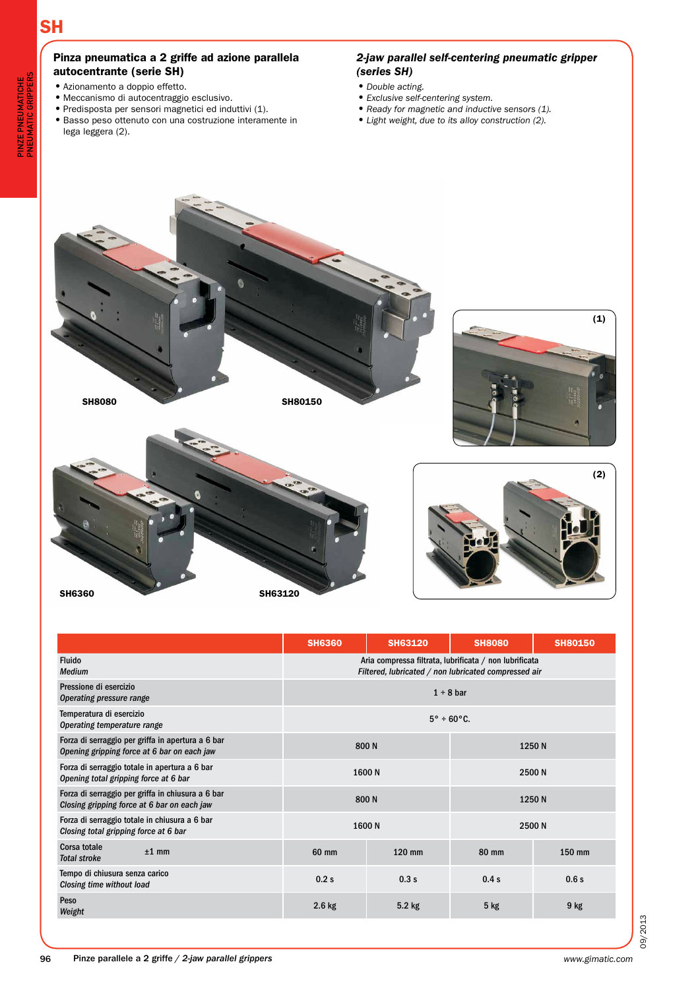# **SH**

SH6360

# Pinza pneumatica a 2 griffe ad azione parallela autocentrante (serie SH)

- •Azionamento a doppio effetto.
- •Meccanismo di autocentraggio esclusivo.
- •Predisposta per sensori magnetici ed induttivi (1).
- •Basso peso ottenuto con una costruzione interamente in lega leggera (2).

# *2-jaw parallel self-centering pneumatic gripper (series SH)*

- •*Double acting.*
- •*Exclusive self-centering system.*
- •*Ready for magnetic and inductive sensors (1).*
- •*Light weight, due to its alloy construction (2).*



SH63120



(1)

|                                                                                                  | <b>SH6360</b>                                                                                                  | <b>SH63120</b> | <b>SH8080</b> | <b>SH80150</b> |
|--------------------------------------------------------------------------------------------------|----------------------------------------------------------------------------------------------------------------|----------------|---------------|----------------|
| <b>Fluido</b><br><b>Medium</b>                                                                   | Aria compressa filtrata, lubrificata / non lubrificata<br>Filtered, lubricated / non lubricated compressed air |                |               |                |
| Pressione di esercizio<br>Operating pressure range                                               | $1 \div 8$ bar                                                                                                 |                |               |                |
| Temperatura di esercizio<br>Operating temperature range                                          | $5^\circ \div 60^\circ C$ .                                                                                    |                |               |                |
| Forza di serraggio per griffa in apertura a 6 bar<br>Opening gripping force at 6 bar on each jaw |                                                                                                                | 800N           |               | 1250 N         |
| Forza di serraggio totale in apertura a 6 bar<br>Opening total gripping force at 6 bar           | 1600N<br>2500 N                                                                                                |                |               |                |
| Forza di serraggio per griffa in chiusura a 6 bar<br>Closing gripping force at 6 bar on each jaw | 800N<br>1250N                                                                                                  |                |               |                |
| Forza di serraggio totale in chiusura a 6 bar<br>Closing total gripping force at 6 bar           | 2500N<br>1600N                                                                                                 |                |               |                |
| <b>Corsa totale</b><br>$±1$ mm<br><b>Total stroke</b>                                            | 60 mm                                                                                                          | 120 mm         | 80 mm         | 150 mm         |
| Tempo di chiusura senza carico<br>Closing time without load                                      | 0.2s                                                                                                           | 0.3s           | 0.4s          | 0.6s           |
| Peso<br>Weight                                                                                   | $2.6$ kg                                                                                                       | $5.2$ kg       | $5$ kg        | $9$ kg         |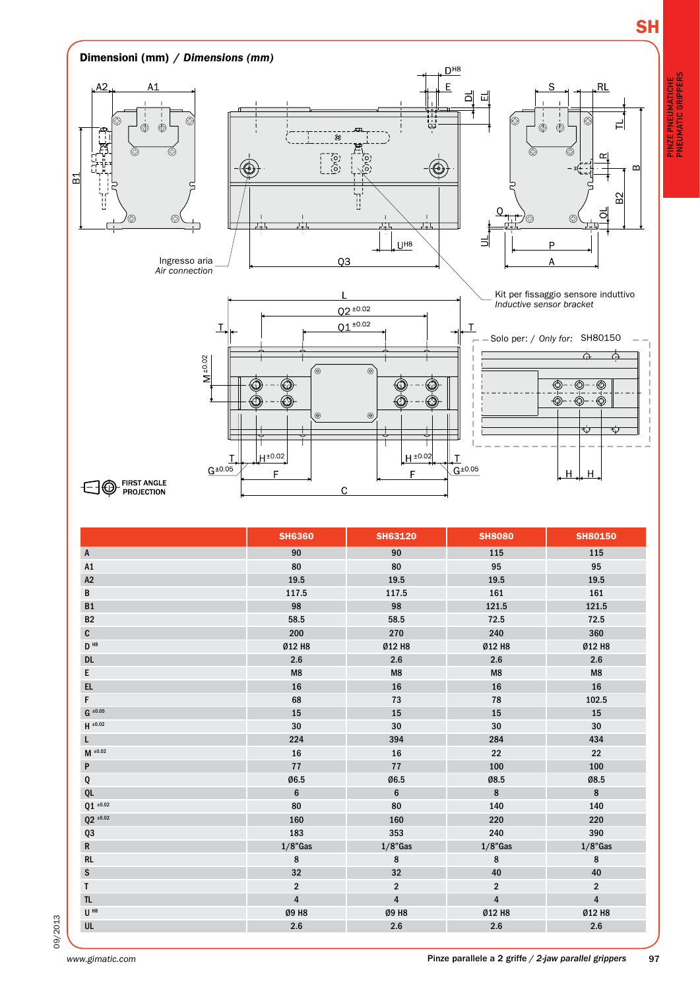

pinze pneumatiche pneumatic grippers

PINZE PNEUMATICHE<br>PNEUMATIC GRIPPERS



|                   | <b>SH6360</b>           | <b>SH63120</b>          | <b>SH8080</b>           | <b>SH80150</b>   |
|-------------------|-------------------------|-------------------------|-------------------------|------------------|
| $\mathsf{A}$      | 90                      | 90                      | 115                     | 115              |
| A1                | 80                      | 80                      | 95                      | 95               |
| A2                | 19.5                    | 19.5                    | 19.5                    | 19.5             |
| B                 | 117.5                   | 117.5                   | 161                     | 161              |
| B1                | 98                      | 98                      | 121.5                   | 121.5            |
| <b>B2</b>         | 58.5                    | 58.5                    | 72.5                    | 72.5             |
| $\mathbf{C}$      | 200                     | 270                     | 240                     | 360              |
| $D$ <sup>H8</sup> | Ø12 H8                  | Ø12 H8                  | Ø12 H8                  | Ø12 H8           |
| <b>DL</b>         | 2.6                     | 2.6                     | 2.6                     | 2.6              |
| E                 | M8                      | M8                      | M8                      | M8               |
| EL.               | 16                      | 16                      | 16                      | 16               |
| F                 | 68                      | $73\,$                  | 78                      | 102.5            |
| $G$ ±0.05         | 15                      | 15                      | 15                      | 15               |
| $H = 0.02$        | $30\,$                  | 30                      | 30                      | 30               |
| L.                | 224                     | 394                     | 284                     | 434              |
| $M$ ±0.02         | 16                      | 16                      | 22                      | 22               |
| P                 | 77                      | 77                      | 100                     | 100              |
| Q                 | Ø6.5                    | Ø6.5                    | Ø8.5                    | Ø8.5             |
| QL                | $\bf 6$                 | $\bf 6$                 | $\bf 8$                 | 8                |
| Q1 $\pm0.02$      | 80                      | 80                      | 140                     | 140              |
| $Q2 * 0.02$       | 160                     | 160                     | 220                     | 220              |
| Q3                | 183                     | 353                     | 240                     | 390              |
| $\mathsf{R}$      | $1/8$ "Gas              | $1/8$ "Gas              | $1/8$ "Gas              | $1/8$ "Gas       |
| RL                | 8                       | $\bf 8$                 | 8                       | $\bf 8$          |
| ${\sf S}$         | 32                      | 32                      | 40                      | 40               |
| $\mathsf{T}$      | $\overline{2}$          | $\boldsymbol{2}$        | $\overline{2}$          | $\boldsymbol{2}$ |
| $\mathsf{TL}$     | $\overline{\mathbf{4}}$ | $\overline{\mathbf{4}}$ | $\overline{\mathbf{4}}$ | $\overline{4}$   |
| $U$ <sup>H8</sup> | Ø9 H8                   | Ø9 H8                   | Ø12 H8                  | Ø12 H8           |
| UL                | 2.6                     | $2.6\,$                 | 2.6                     | 2.6              |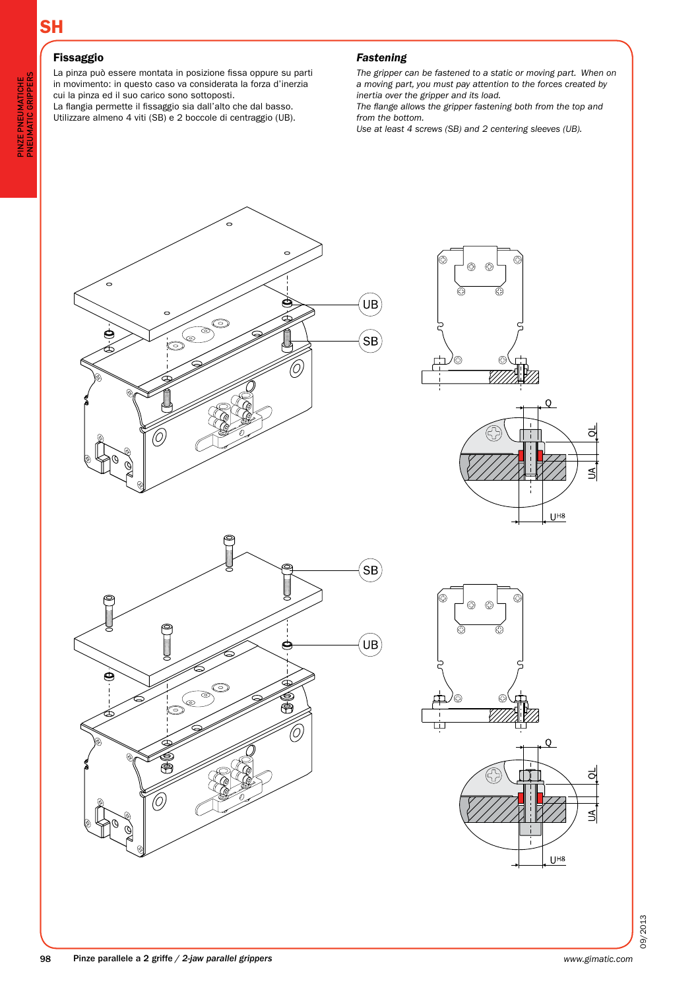# Fissaggio

La pinza può essere montata in posizione fissa oppure su parti in movimento: in questo caso va considerata la forza d'inerzia cui la pinza ed il suo carico sono sottoposti. La flangia permette il fissaggio sia dall'alto che dal basso.

Utilizzare almeno 4 viti (SB) e 2 boccole di centraggio (UB).

# *Fastening*

*The gripper can be fastened to a static or moving part. When on a moving part, you must pay attention to the forces created by inertia over the gripper and its load.*

*The flange allows the gripper fastening both from the top and from the bottom.*

*Use at least 4 screws (SB) and 2 centering sleeves (UB).*

![](_page_2_Figure_9.jpeg)

![](_page_2_Figure_10.jpeg)

![](_page_2_Figure_11.jpeg)

![](_page_2_Figure_12.jpeg)

![](_page_2_Figure_13.jpeg)

09/2013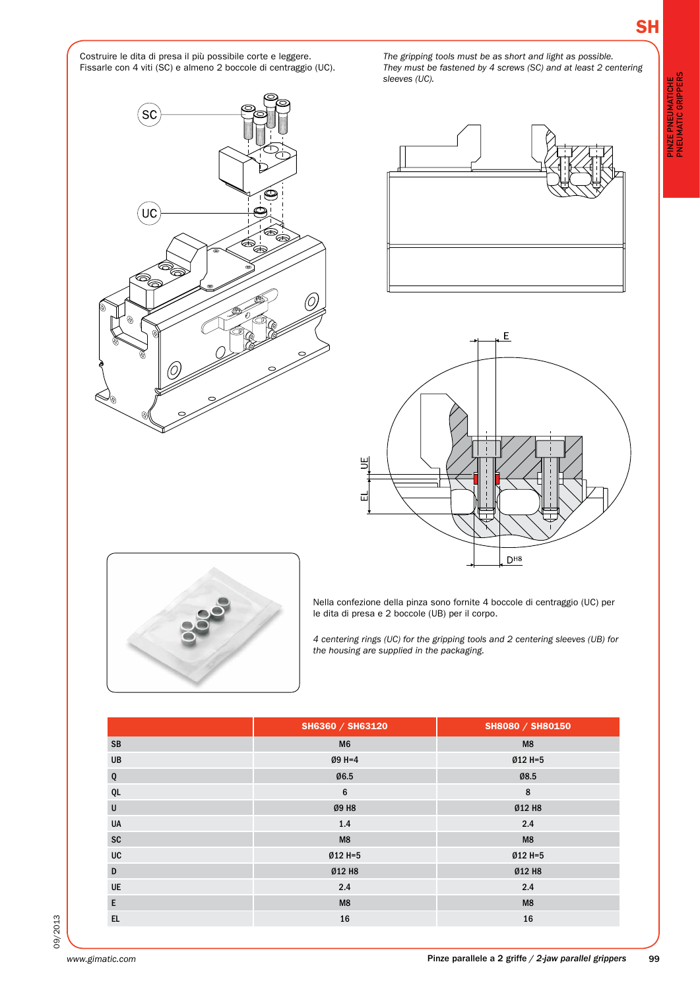Costruire le dita di presa il più possibile corte e leggere. Fissarle con 4 viti (SC) e almeno 2 boccole di centraggio (UC).

**SC** ΄uc

![](_page_3_Picture_4.jpeg)

*The gripping tools must be as short and light as possible. They must be fastened by 4 screws (SC) and at least 2 centering* 

*sleeves (UC).*

![](_page_3_Figure_5.jpeg)

![](_page_3_Picture_6.jpeg)

Nella confezione della pinza sono fornite 4 boccole di centraggio (UC) per le dita di presa e 2 boccole (UB) per il corpo.

*4 centering rings (UC) for the gripping tools and 2 centering sleeves (UB) for the housing are supplied in the packaging.*

|           | SH6360 / SH63120 | SH8080 / SH80150 |
|-----------|------------------|------------------|
| <b>SB</b> | M <sub>6</sub>   | M8               |
| UB        | $Ø9H=4$          | $Ø12 H=5$        |
| Q         | Ø6.5             | Ø8.5             |
| QL        | 6                | 8                |
| $\sf U$   | Ø9 H8            | Ø12 H8           |
| UA        | 1.4              | 2.4              |
| SC        | M8               | M8               |
| UC        | Ø12 H=5          | $Ø12 H=5$        |
| D         | Ø12 H8           | Ø12 H8           |
| UE        | 2.4              | 2.4              |
| E         | M8               | M8               |
| EL        | 16               | 16               |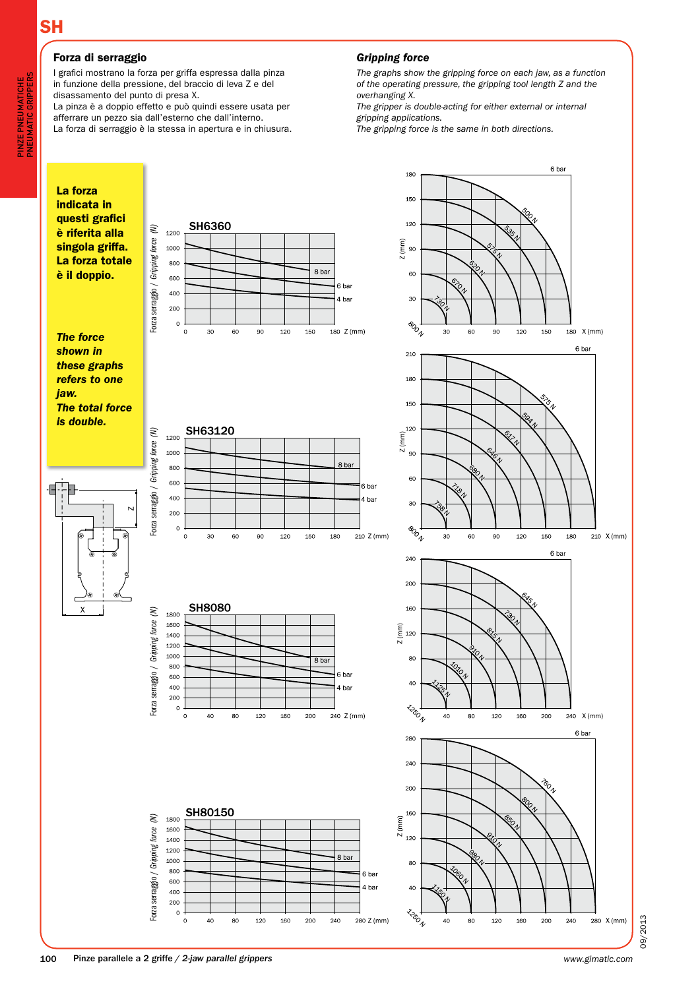# **SH**

# Forza di serraggio

I grafici mostrano la forza per griffa espressa dalla pinza in funzione della pressione, del braccio di leva Z e del disassamento del punto di presa X.

La pinza è a doppio effetto e può quindi essere usata per afferrare un pezzo sia dall'esterno che dall'interno. La forza di serraggio è la stessa in apertura e in chiusura.

#### *Gripping force*

*The graphs show the gripping force on each jaw, as a function of the operating pressure, the gripping tool length Z and the overhanging X.*

*The gripper is double-acting for either external or internal gripping applications.*

*The gripping force is the same in both directions.*

![](_page_4_Figure_9.jpeg)

09/2013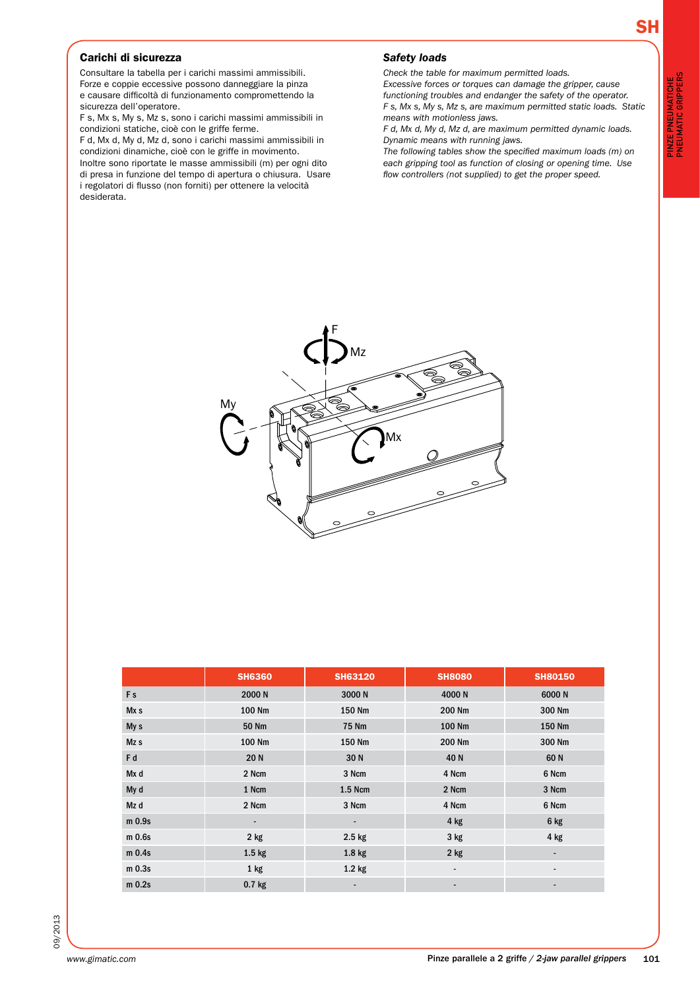## Carichi di sicurezza

desiderata.

Consultare la tabella per i carichi massimi ammissibili. Forze e coppie eccessive possono danneggiare la pinza e causare difficoltà di funzionamento compromettendo la sicurezza dell'operatore.

F s, Mx s, My s, Mz s, sono i carichi massimi ammissibili in condizioni statiche, cioè con le griffe ferme.

F d, Mx d, My d, Mz d, sono i carichi massimi ammissibili in condizioni dinamiche, cioè con le griffe in movimento. Inoltre sono riportate le masse ammissibili (m) per ogni dito di presa in funzione del tempo di apertura o chiusura. Usare i regolatori di flusso (non forniti) per ottenere la velocità

My

### *Safety loads*

*Check the table for maximum permitted loads.*

*Excessive forces or torques can damage the gripper, cause functioning troubles and endanger the safety of the operator. F s, Mx s, My s, Mz s, are maximum permitted static loads. Static means with motionless jaws.*

*F d, Mx d, My d, Mz d, are maximum permitted dynamic loads. Dynamic means with running jaws.*

*The following tables show the specified maximum loads (m) on each gripping tool as function of closing or opening time. Use flow controllers (not supplied) to get the proper speed.*

pinze pneumatiche pneumatic grippers

PINZE PNEUMATICHE<br>PNEUMATIC GRIPPERS

|                   | <b>SH6360</b>            | <b>SH63120</b>    | <b>SH8080</b>            | <b>SH80150</b> |
|-------------------|--------------------------|-------------------|--------------------------|----------------|
| Fs                | 2000 N                   | 3000N             | 4000N                    | 6000N          |
| Mx s              | 100 Nm                   | 150 Nm            | 200 Nm                   | 300 Nm         |
| My s              | 50 Nm                    | <b>75 Nm</b>      | 100 Nm                   | 150 Nm         |
| Mz s              | 100 Nm                   | 150 Nm            | 200 Nm                   | 300 Nm         |
| F d               | 20N                      | 30N               | 40 N                     | 60N            |
| Mx d              | 2 Ncm                    | 3 Ncm             | 4 Ncm                    | 6 Ncm          |
| My d              | 1 Ncm                    | 1.5 Ncm           | 2 Ncm                    | 3 Ncm          |
| Mz d              | 2 Ncm                    | 3 Ncm             | 4 Ncm                    | 6 Ncm          |
| m 0.9s            | $\overline{\phantom{0}}$ |                   | $4$ kg                   | 6 kg           |
| m 0.6s            | $2$ kg                   | $2.5$ kg          | $3$ kg                   | $4$ kg         |
| m <sub>0.4s</sub> | 1.5 <sub>kg</sub>        | 1.8 <sub>kg</sub> | $2$ kg                   | ۰              |
| m <sub>0.3s</sub> | $1$ kg                   | $1.2$ kg          | $\overline{\phantom{a}}$ | ٠              |
| $m$ 0.2s          | $0.7$ kg                 |                   |                          |                |

F

Mz

Mx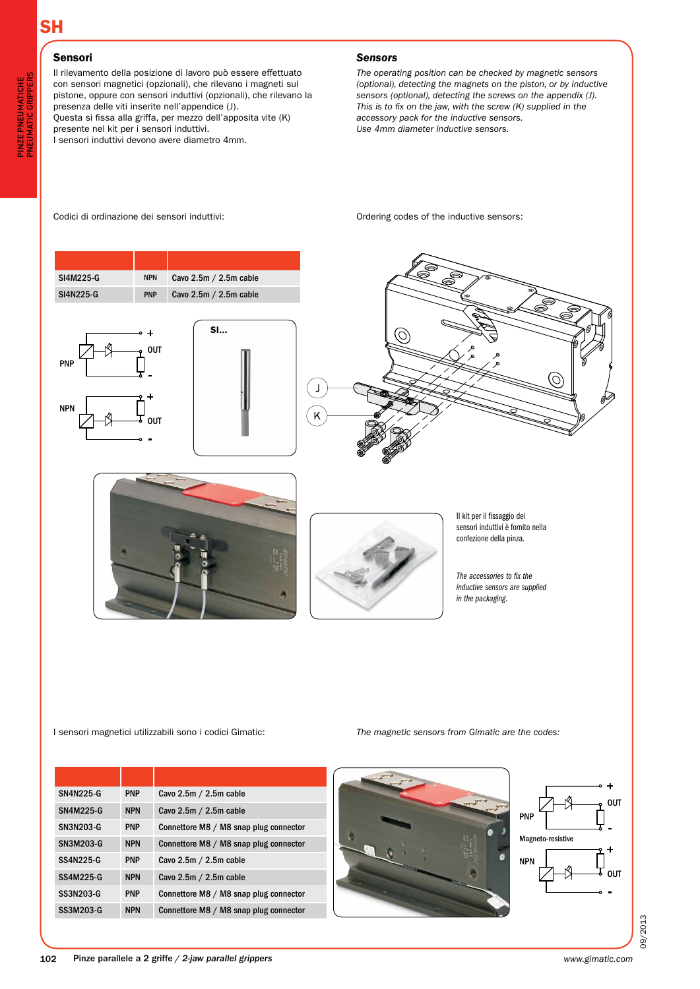#### **SH Inductive proximity switch IFRM** 04P15A1/L

output circuit PNP make function (NO)

# Sensori

**PN** 

NPN

Il rilevamento della posizione di lavoro può essere effettuato con sensori magnetici (opzionali), che rilevano i magneti sul pistone, oppure con sensori induttivi (opzionali), che rilevano la presenza delle viti inserite nell'appendice (J). Questa si fissa alla griffa, per mezzo dell'apposita vite (K) presente nel kit per i sensori induttivi. I sensori induttivi devono avere diametro 4mm.

#### *Sensors*

*The operating position can be checked by magnetic sensors (optional), detecting the magnets on the piston, or by inductive sensors (optional), detecting the screws on the appendix (J). This is to fix on the jaw, with the screw (K) supplied in the accessory pack for the inductive sensors. Use 4mm diameter inductive sensors.*

Codici di ordinazione dei sensori induttivi:

![](_page_6_Figure_7.jpeg)

| <b>SN4N225-G</b> | <b>PNP</b> | Cavo 2.5m / 2.5m cable                 |
|------------------|------------|----------------------------------------|
| SN4M225-G        | <b>NPN</b> | Cavo 2.5m / 2.5m cable                 |
| <b>SN3N203-G</b> | <b>PNP</b> | Connettore M8 / M8 snap plug connector |
| <b>SN3M203-G</b> | <b>NPN</b> | Connettore M8 / M8 snap plug connector |
| SS4N225-G        | <b>PNP</b> | Cavo $2.5m / 2.5m$ cable               |
| SS4M225-G        | <b>NPN</b> | Cavo 2.5m / 2.5m cable                 |
| <b>SS3N203-G</b> | <b>PNP</b> | Connettore M8 / M8 snap plug connector |
| SS3M203-G        | <b>NPN</b> | Connettore M8 / M8 snap plug connector |

![](_page_6_Picture_9.jpeg)

![](_page_6_Figure_10.jpeg)

09/2013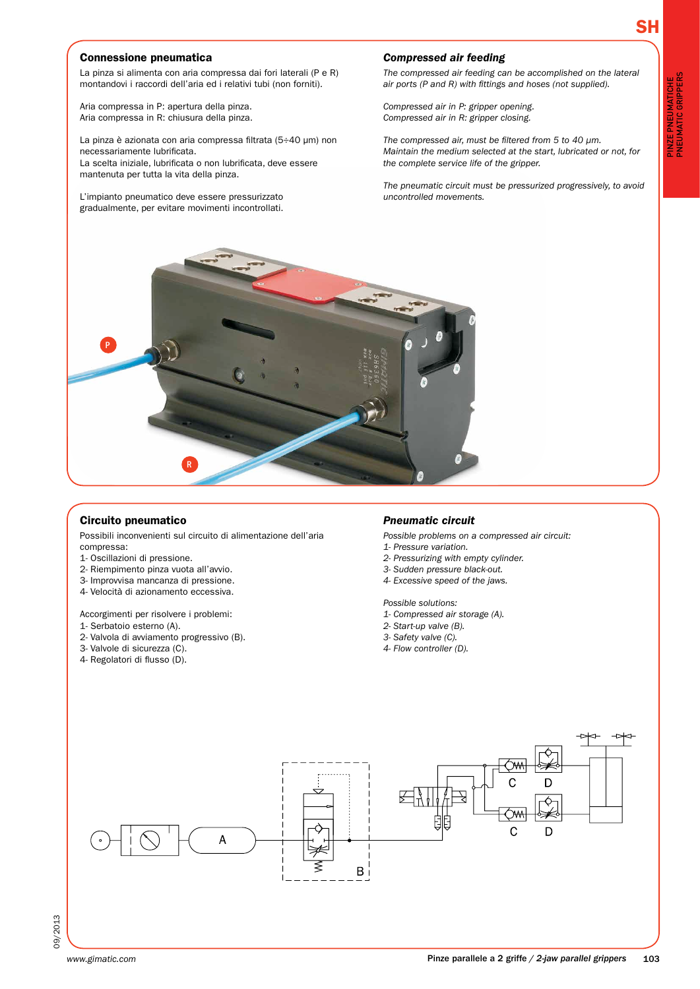pinze pneumatiche pneumatic grippers

PINZE PNEUMATICHE<br>PNEUMATIC GRIPPERS

## Connessione pneumatica

La pinza si alimenta con aria compressa dai fori laterali (P e R) montandovi i raccordi dell'aria ed i relativi tubi (non forniti).

Aria compressa in P: apertura della pinza. Aria compressa in R: chiusura della pinza.

La pinza è azionata con aria compressa filtrata (5÷40 µm) non necessariamente lubrificata. La scelta iniziale, lubrificata o non lubrificata, deve essere mantenuta per tutta la vita della pinza.

L'impianto pneumatico deve essere pressurizzato gradualmente, per evitare movimenti incontrollati.

#### *Compressed air feeding*

*The compressed air feeding can be accomplished on the lateral air ports (P and R) with fittings and hoses (not supplied).*

*Compressed air in P: gripper opening. Compressed air in R: gripper closing.*

*The compressed air, must be filtered from 5 to 40 µm. Maintain the medium selected at the start, lubricated or not, for the complete service life of the gripper.*

*The pneumatic circuit must be pressurized progressively, to avoid uncontrolled movements.*

![](_page_7_Picture_11.jpeg)

### Circuito pneumatico

Possibili inconvenienti sul circuito di alimentazione dell'aria compressa:

- 1- Oscillazioni di pressione.
- 2- Riempimento pinza vuota all'avvio.
- 3- Improvvisa mancanza di pressione.
- 4- Velocità di azionamento eccessiva.

Accorgimenti per risolvere i problemi:

- 1- Serbatoio esterno (A).
- 2- Valvola di avviamento progressivo (B).
- 3- Valvole di sicurezza (C).
- 4- Regolatori di flusso (D).

#### *Pneumatic circuit*

*Possible problems on a compressed air circuit:*

- *1- Pressure variation.*
- *2- Pressurizing with empty cylinder.*
- *3- Sudden pressure black-out.*
- *4- Excessive speed of the jaws.*

*Possible solutions:*

- *1- Compressed air storage (A).*
- *2- Start-up valve (B).*
- *3- Safety valve (C).*
- *4- Flow controller (D).*

![](_page_7_Figure_34.jpeg)